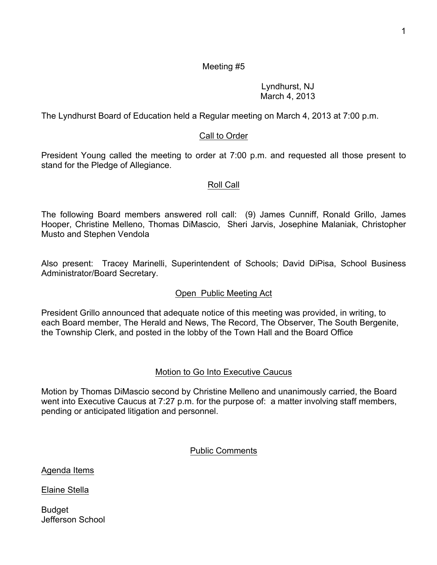Lyndhurst, NJ March 4, 2013

The Lyndhurst Board of Education held a Regular meeting on March 4, 2013 at 7:00 p.m.

# Call to Order

President Young called the meeting to order at 7:00 p.m. and requested all those present to stand for the Pledge of Allegiance.

#### Roll Call

The following Board members answered roll call: (9) James Cunniff, Ronald Grillo, James Hooper, Christine Melleno, Thomas DiMascio, Sheri Jarvis, Josephine Malaniak, Christopher Musto and Stephen Vendola

Also present: Tracey Marinelli, Superintendent of Schools; David DiPisa, School Business Administrator/Board Secretary.

# Open Public Meeting Act

President Grillo announced that adequate notice of this meeting was provided, in writing, to each Board member, The Herald and News, The Record, The Observer, The South Bergenite, the Township Clerk, and posted in the lobby of the Town Hall and the Board Office

# Motion to Go Into Executive Caucus

Motion by Thomas DiMascio second by Christine Melleno and unanimously carried, the Board went into Executive Caucus at 7:27 p.m. for the purpose of: a matter involving staff members, pending or anticipated litigation and personnel.

# Public Comments

Agenda Items

Elaine Stella

Budget Jefferson School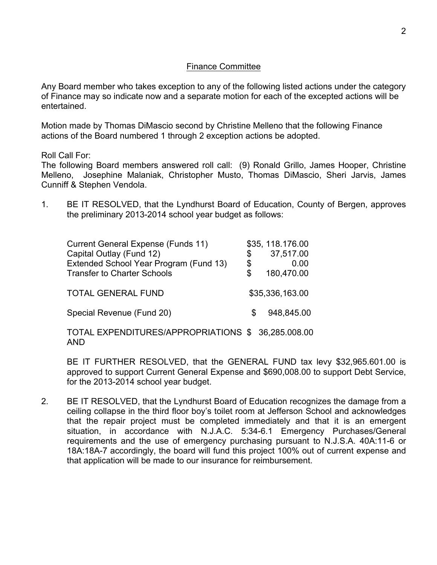#### Finance Committee

Any Board member who takes exception to any of the following listed actions under the category of Finance may so indicate now and a separate motion for each of the excepted actions will be entertained.

Motion made by Thomas DiMascio second by Christine Melleno that the following Finance actions of the Board numbered 1 through 2 exception actions be adopted.

Roll Call For:

The following Board members answered roll call: (9) Ronald Grillo, James Hooper, Christine Melleno, Josephine Malaniak, Christopher Musto, Thomas DiMascio, Sheri Jarvis, James Cunniff & Stephen Vendola.

1. BE IT RESOLVED, that the Lyndhurst Board of Education, County of Bergen, approves the preliminary 2013-2014 school year budget as follows:

| <b>Current General Expense (Funds 11)</b> |     | \$35, 118.176.00 |
|-------------------------------------------|-----|------------------|
| Capital Outlay (Fund 12)                  | \$  | 37,517.00        |
| Extended School Year Program (Fund 13)    | \$  | 0 OO             |
| <b>Transfer to Charter Schools</b>        |     | 180,470.00       |
| <b>TOTAL GENERAL FUND</b>                 |     | \$35,336,163.00  |
| Special Revenue (Fund 20)                 | \$. | 948,845.00       |

TOTAL EXPENDITURES/APPROPRIATIONS \$ 36,285.008.00 AND

BE IT FURTHER RESOLVED, that the GENERAL FUND tax levy \$32,965.601.00 is approved to support Current General Expense and \$690,008.00 to support Debt Service, for the 2013-2014 school year budget.

2. BE IT RESOLVED, that the Lyndhurst Board of Education recognizes the damage from a ceiling collapse in the third floor boy's toilet room at Jefferson School and acknowledges that the repair project must be completed immediately and that it is an emergent situation, in accordance with N.J.A.C. 5:34-6.1 Emergency Purchases/General requirements and the use of emergency purchasing pursuant to N.J.S.A. 40A:11-6 or 18A:18A-7 accordingly, the board will fund this project 100% out of current expense and that application will be made to our insurance for reimbursement.